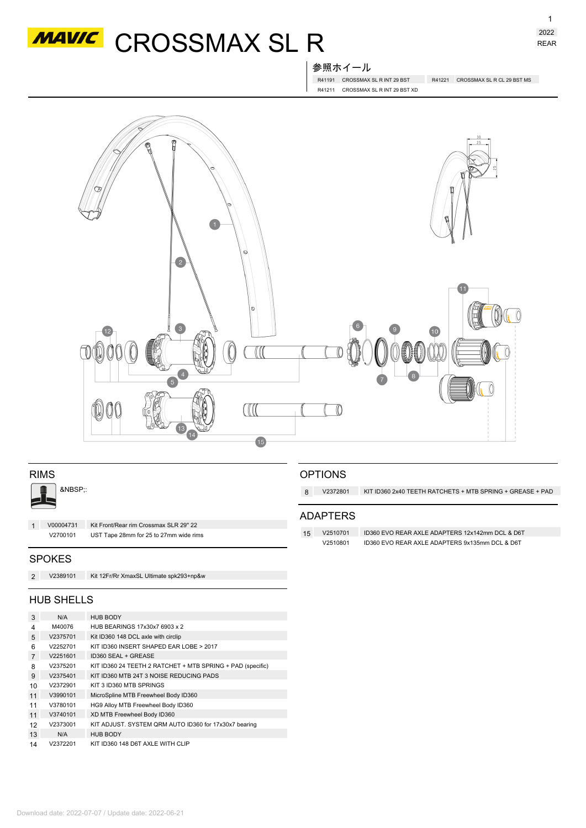

参照ホイール

R41191 CROSSMAX SL R INT 29 BST R41221 CROSSMAX SL R CL 29 BST MS R41211 CROSSMAX SL R INT 29 BST XD



| <b>RIMS</b><br>&NBSP:: |                   |                                         | <b>OPTIONS</b><br>V2372801<br>KIT ID360 2x40 TEETH RATCHETS + MTB SPRING + GREASE + PAD<br>8 |                 |                                                 |  |
|------------------------|-------------------|-----------------------------------------|----------------------------------------------------------------------------------------------|-----------------|-------------------------------------------------|--|
| V00004731              |                   | Kit Front/Rear rim Crossmax SLR 29" 22  |                                                                                              | <b>ADAPTERS</b> |                                                 |  |
| 1                      | V2700101          | UST Tape 28mm for 25 to 27mm wide rims  | 15                                                                                           | V2510701        | ID360 EVO REAR AXLE ADAPTERS 12x142mm DCL & D6T |  |
|                        |                   |                                         |                                                                                              | V2510801        | ID360 EVO REAR AXLE ADAPTERS 9x135mm DCL & D6T  |  |
|                        | <b>SPOKES</b>     |                                         |                                                                                              |                 |                                                 |  |
| 2                      | V2389101          | Kit 12Fr/Rr XmaxSL Ultimate spk293+np&w |                                                                                              |                 |                                                 |  |
|                        | <b>HUB SHELLS</b> |                                         |                                                                                              |                 |                                                 |  |

| 3              | N/A      | <b>HUB BODY</b>                                            |  |  |  |
|----------------|----------|------------------------------------------------------------|--|--|--|
| 4              | M40076   | HUB BEARINGS 17x30x7 6903 x 2                              |  |  |  |
| 5              | V2375701 | Kit ID360 148 DCL axle with circlip                        |  |  |  |
| 6              | V2252701 | KIT ID360 INSERT SHAPED EAR LOBE > 2017                    |  |  |  |
| $\overline{7}$ | V2251601 | ID360 SEAL + GREASE                                        |  |  |  |
| 8              | V2375201 | KIT ID360 24 TEETH 2 RATCHET + MTB SPRING + PAD (specific) |  |  |  |
| 9              | V2375401 | KIT ID360 MTB 24T 3 NOISE REDUCING PADS                    |  |  |  |
| 10             | V2372901 | KIT 3 ID360 MTB SPRINGS                                    |  |  |  |
| 11             | V3990101 | MicroSpline MTB Freewheel Body ID360                       |  |  |  |
| 11             | V3780101 | HG9 Alloy MTB Freewheel Body ID360                         |  |  |  |
| 11             | V3740101 | XD MTB Freewheel Body ID360                                |  |  |  |
| 12             | V2373001 | KIT ADJUST. SYSTEM QRM AUTO ID360 for 17x30x7 bearing      |  |  |  |
| 13             | N/A      | <b>HUB BODY</b>                                            |  |  |  |
| 14             | V2372201 | KIT ID360 148 D6T AXLE WITH CLIP                           |  |  |  |

Download date: 2022-07-07 / Update date: 2022-06-21